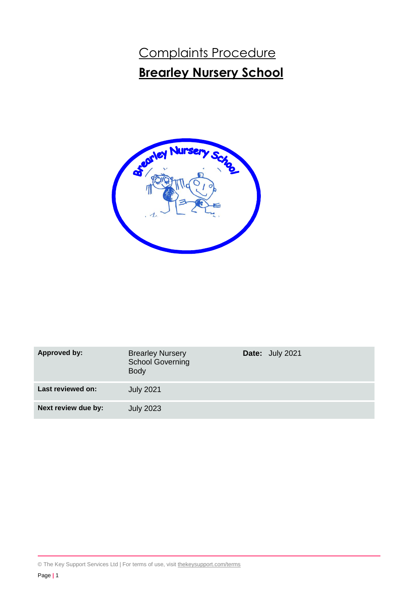# Complaints Procedure **Brearley Nursery School**



| Approved by:        | <b>Brearley Nursery</b><br><b>School Governing</b><br><b>Body</b> | Date: July 2021 |
|---------------------|-------------------------------------------------------------------|-----------------|
| Last reviewed on:   | <b>July 2021</b>                                                  |                 |
| Next review due by: | <b>July 2023</b>                                                  |                 |

© The Key Support Services Ltd | For terms of use, visit [thekeysupport.com/terms](https://thekeysupport.com/terms-of-use)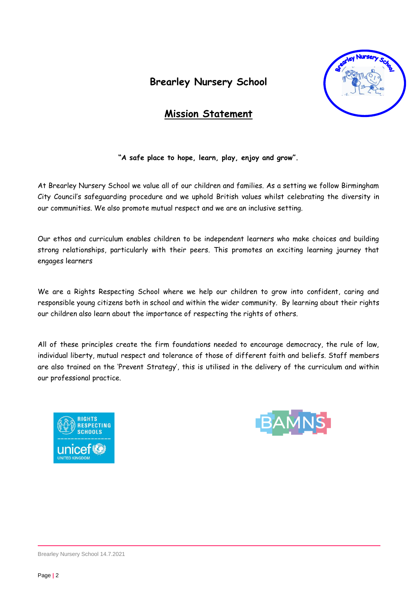# **Brearley Nursery School**



# **Mission Statement**

**"A safe place to hope, learn, play, enjoy and grow".**

At Brearley Nursery School we value all of our children and families. As a setting we follow Birmingham City Council's safeguarding procedure and we uphold British values whilst celebrating the diversity in our communities. We also promote mutual respect and we are an inclusive setting.

Our ethos and curriculum enables children to be independent learners who make choices and building strong relationships, particularly with their peers. This promotes an exciting learning journey that engages learners

We are a Rights Respecting School where we help our children to grow into confident, caring and responsible young citizens both in school and within the wider community. By learning about their rights our children also learn about the importance of respecting the rights of others.

All of these principles create the firm foundations needed to encourage democracy, the rule of law, individual liberty, mutual respect and tolerance of those of different faith and beliefs. Staff members are also trained on the 'Prevent Strategy', this is utilised in the delivery of the curriculum and within our professional practice.





Brearley Nursery School 14.7.2021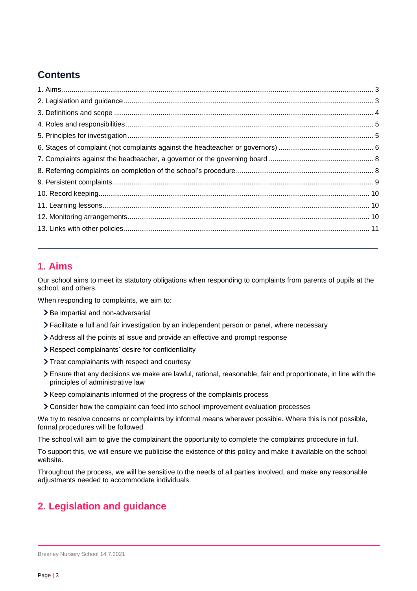# **Contents**

# <span id="page-2-0"></span>**1. Aims**

Our school aims to meet its statutory obligations when responding to complaints from parents of pupils at the school, and others.

When responding to complaints, we aim to:

- > Be impartial and non-adversarial
- Facilitate a full and fair investigation by an independent person or panel, where necessary
- Address all the points at issue and provide an effective and prompt response
- Respect complainants' desire for confidentiality
- > Treat complainants with respect and courtesy
- Ensure that any decisions we make are lawful, rational, reasonable, fair and proportionate, in line with the principles of administrative law
- > Keep complainants informed of the progress of the complaints process
- Consider how the complaint can feed into school improvement evaluation processes

We try to resolve concerns or complaints by informal means wherever possible. Where this is not possible, formal procedures will be followed.

The school will aim to give the complainant the opportunity to complete the complaints procedure in full.

To support this, we will ensure we publicise the existence of this policy and make it available on the school website.

Throughout the process, we will be sensitive to the needs of all parties involved, and make any reasonable adjustments needed to accommodate individuals.

# <span id="page-2-1"></span>**2. Legislation and guidance**

Brearley Nursery School 14.7.2021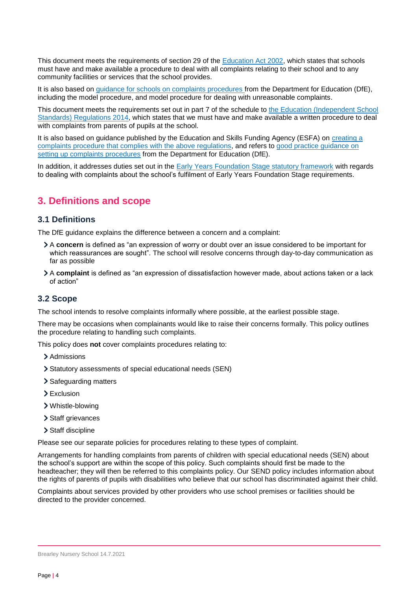This document meets the requirements of section 29 of the [Education Act 2002,](http://www.legislation.gov.uk/ukpga/2002/32/section/29) which states that schools must have and make available a procedure to deal with all complaints relating to their school and to any community facilities or services that the school provides.

It is also based on [guidance for schools on complaints procedures](https://www.gov.uk/government/publications/school-complaints-procedures) from the Department for Education (DfE), including the model procedure, and model procedure for dealing with unreasonable complaints.

This document meets the requirements set out in part 7 of the schedule to the Education (Independent School [Standards\) Regulations 2014,](http://www.legislation.gov.uk/uksi/2014/3283/schedule/made) which states that we must have and make available a written procedure to deal with complaints from parents of pupils at the school.

It is also based on guidance published by the Education and Skills Funding Agency (ESFA) on [creating a](https://www.gov.uk/government/publications/setting-up-an-academies-complaints-procedure)  [complaints procedure that complies with the above regulations,](https://www.gov.uk/government/publications/setting-up-an-academies-complaints-procedure) and refers to [good practice guidance on](https://www.gov.uk/government/publications/school-complaints-procedures)  [setting up complaints procedures](https://www.gov.uk/government/publications/school-complaints-procedures) from the Department for Education (DfE).

In addition, it addresses duties set out in the [Early Years Foundation Stage statutory framework](https://www.gov.uk/government/publications/early-years-foundation-stage-framework--2) with regards to dealing with complaints about the school's fulfilment of Early Years Foundation Stage requirements.

# <span id="page-3-0"></span>**3. Definitions and scope**

#### **3.1 Definitions**

The DfE guidance explains the difference between a concern and a complaint:

- A **concern** is defined as "an expression of worry or doubt over an issue considered to be important for which reassurances are sought". The school will resolve concerns through day-to-day communication as far as possible
- A **complaint** is defined as "an expression of dissatisfaction however made, about actions taken or a lack of action"

### **3.2 Scope**

The school intends to resolve complaints informally where possible, at the earliest possible stage.

There may be occasions when complainants would like to raise their concerns formally. This policy outlines the procedure relating to handling such complaints.

This policy does **not** cover complaints procedures relating to:

- > Admissions
- Statutory assessments of special educational needs (SEN)
- > Safeguarding matters
- > Exclusion
- Whistle-blowing
- > Staff grievances
- > Staff discipline

Please see our separate policies for procedures relating to these types of complaint.

Arrangements for handling complaints from parents of children with special educational needs (SEN) about the school's support are within the scope of this policy. Such complaints should first be made to the headteacher; they will then be referred to this complaints policy. Our SEND policy includes information about the rights of parents of pupils with disabilities who believe that our school has discriminated against their child.

Complaints about services provided by other providers who use school premises or facilities should be directed to the provider concerned.

Brearley Nursery School 14.7.2021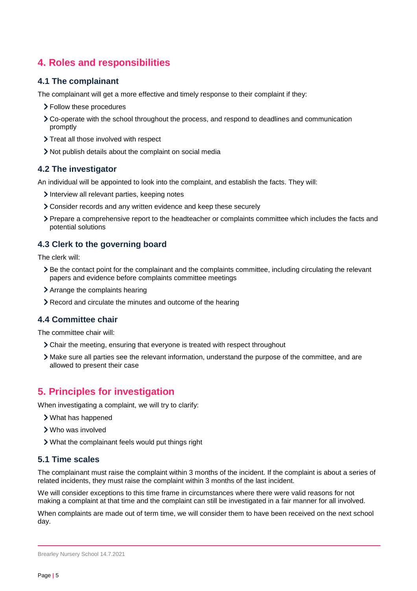# <span id="page-4-0"></span>**4. Roles and responsibilities**

#### **4.1 The complainant**

The complainant will get a more effective and timely response to their complaint if they:

- > Follow these procedures
- Co-operate with the school throughout the process, and respond to deadlines and communication promptly
- > Treat all those involved with respect
- Not publish details about the complaint on social media

#### **4.2 The investigator**

An individual will be appointed to look into the complaint, and establish the facts. They will:

- Interview all relevant parties, keeping notes
- Consider records and any written evidence and keep these securely
- Prepare a comprehensive report to the headteacher or complaints committee which includes the facts and potential solutions

#### **4.3 Clerk to the governing board**

The clerk will:

- Be the contact point for the complainant and the complaints committee, including circulating the relevant papers and evidence before complaints committee meetings
- Arrange the complaints hearing
- Record and circulate the minutes and outcome of the hearing

#### **4.4 Committee chair**

The committee chair will:

- Chair the meeting, ensuring that everyone is treated with respect throughout
- Make sure all parties see the relevant information, understand the purpose of the committee, and are allowed to present their case

## <span id="page-4-1"></span>**5. Principles for investigation**

When investigating a complaint, we will try to clarify:

- What has happened
- Who was involved
- What the complainant feels would put things right

#### **5.1 Time scales**

The complainant must raise the complaint within 3 months of the incident. If the complaint is about a series of related incidents, they must raise the complaint within 3 months of the last incident.

We will consider exceptions to this time frame in circumstances where there were valid reasons for not making a complaint at that time and the complaint can still be investigated in a fair manner for all involved.

When complaints are made out of term time, we will consider them to have been received on the next school day.

Brearley Nursery School 14.7.2021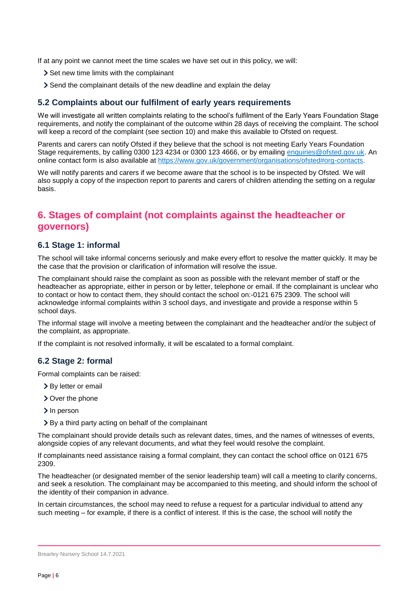If at any point we cannot meet the time scales we have set out in this policy, we will:

- > Set new time limits with the complainant
- Send the complainant details of the new deadline and explain the delay

#### **5.2 Complaints about our fulfilment of early years requirements**

We will investigate all written complaints relating to the school's fulfilment of the Early Years Foundation Stage requirements, and notify the complainant of the outcome within 28 days of receiving the complaint. The school will keep a record of the complaint (see section 10) and make this available to Ofsted on request.

Parents and carers can notify Ofsted if they believe that the school is not meeting Early Years Foundation Stage requirements, by calling 0300 123 4234 or 0300 123 4666, or by emailing [enquiries@ofsted.gov.uk.](mailto:enquiries@ofsted.gov.uk) An online contact form is also available at [https://www.gov.uk/government/organisations/ofsted#org-contacts.](https://www.gov.uk/government/organisations/ofsted#org-contacts)

We will notify parents and carers if we become aware that the school is to be inspected by Ofsted. We will also supply a copy of the inspection report to parents and carers of children attending the setting on a regular basis.

# <span id="page-5-0"></span>**6. Stages of complaint (not complaints against the headteacher or governors)**

#### **6.1 Stage 1: informal**

The school will take informal concerns seriously and make every effort to resolve the matter quickly. It may be the case that the provision or clarification of information will resolve the issue.

The complainant should raise the complaint as soon as possible with the relevant member of staff or the headteacher as appropriate, either in person or by letter, telephone or email. If the complainant is unclear who to contact or how to contact them, they should contact the school on:-0121 675 2309. The school will acknowledge informal complaints within 3 school days, and investigate and provide a response within 5 school days.

The informal stage will involve a meeting between the complainant and the headteacher and/or the subject of the complaint, as appropriate.

If the complaint is not resolved informally, it will be escalated to a formal complaint.

#### **6.2 Stage 2: formal**

Formal complaints can be raised:

- > By letter or email
- Over the phone
- > In person
- By a third party acting on behalf of the complainant

The complainant should provide details such as relevant dates, times, and the names of witnesses of events, alongside copies of any relevant documents, and what they feel would resolve the complaint.

If complainants need assistance raising a formal complaint, they can contact the school office on 0121 675 2309.

The headteacher (or designated member of the senior leadership team) will call a meeting to clarify concerns, and seek a resolution. The complainant may be accompanied to this meeting, and should inform the school of the identity of their companion in advance.

In certain circumstances, the school may need to refuse a request for a particular individual to attend any such meeting – for example, if there is a conflict of interest. If this is the case, the school will notify the

Brearley Nursery School 14.7.2021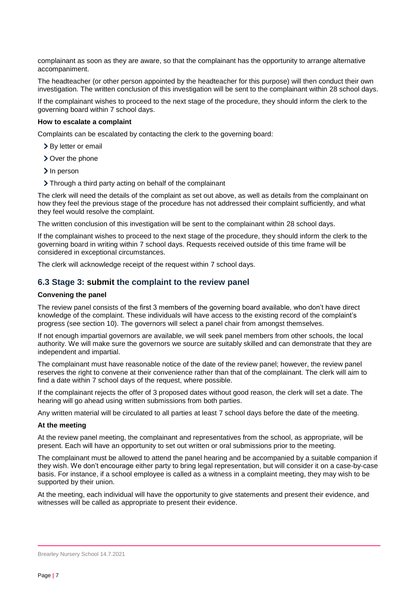complainant as soon as they are aware, so that the complainant has the opportunity to arrange alternative accompaniment.

The headteacher (or other person appointed by the headteacher for this purpose) will then conduct their own investigation. The written conclusion of this investigation will be sent to the complainant within 28 school days.

If the complainant wishes to proceed to the next stage of the procedure, they should inform the clerk to the governing board within 7 school days.

#### **How to escalate a complaint**

Complaints can be escalated by contacting the clerk to the governing board:

- > By letter or email
- > Over the phone
- > In person
- Through a third party acting on behalf of the complainant

The clerk will need the details of the complaint as set out above, as well as details from the complainant on how they feel the previous stage of the procedure has not addressed their complaint sufficiently, and what they feel would resolve the complaint.

The written conclusion of this investigation will be sent to the complainant within 28 school days.

If the complainant wishes to proceed to the next stage of the procedure, they should inform the clerk to the governing board in writing within 7 school days. Requests received outside of this time frame will be considered in exceptional circumstances.

The clerk will acknowledge receipt of the request within 7 school days.

#### **6.3 Stage 3: submit the complaint to the review panel**

#### **Convening the panel**

The review panel consists of the first 3 members of the governing board available, who don't have direct knowledge of the complaint. These individuals will have access to the existing record of the complaint's progress (see section 10). The governors will select a panel chair from amongst themselves.

If not enough impartial governors are available, we will seek panel members from other schools, the local authority. We will make sure the governors we source are suitably skilled and can demonstrate that they are independent and impartial.

The complainant must have reasonable notice of the date of the review panel; however, the review panel reserves the right to convene at their convenience rather than that of the complainant. The clerk will aim to find a date within 7 school days of the request, where possible.

If the complainant rejects the offer of 3 proposed dates without good reason, the clerk will set a date. The hearing will go ahead using written submissions from both parties.

Any written material will be circulated to all parties at least 7 school days before the date of the meeting.

#### **At the meeting**

At the review panel meeting, the complainant and representatives from the school, as appropriate, will be present. Each will have an opportunity to set out written or oral submissions prior to the meeting.

The complainant must be allowed to attend the panel hearing and be accompanied by a suitable companion if they wish. We don't encourage either party to bring legal representation, but will consider it on a case-by-case basis. For instance, if a school employee is called as a witness in a complaint meeting, they may wish to be supported by their union.

At the meeting, each individual will have the opportunity to give statements and present their evidence, and witnesses will be called as appropriate to present their evidence.

Brearley Nursery School 14.7.2021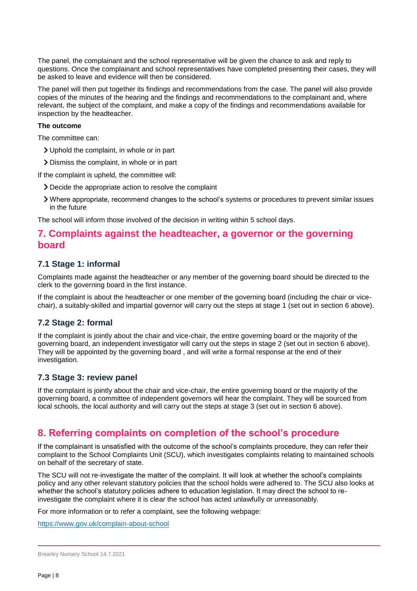The panel, the complainant and the school representative will be given the chance to ask and reply to questions. Once the complainant and school representatives have completed presenting their cases, they will be asked to leave and evidence will then be considered.

The panel will then put together its findings and recommendations from the case. The panel will also provide copies of the minutes of the hearing and the findings and recommendations to the complainant and, where relevant, the subject of the complaint, and make a copy of the findings and recommendations available for inspection by the headteacher.

#### **The outcome**

The committee can:

- Uphold the complaint, in whole or in part
- Dismiss the complaint, in whole or in part

If the complaint is upheld, the committee will:

- Decide the appropriate action to resolve the complaint
- Where appropriate, recommend changes to the school's systems or procedures to prevent similar issues in the future

The school will inform those involved of the decision in writing within 5 school days.

### <span id="page-7-0"></span>**7. Complaints against the headteacher, a governor or the governing board**

#### **7.1 Stage 1: informal**

Complaints made against the headteacher or any member of the governing board should be directed to the clerk to the governing board in the first instance.

If the complaint is about the headteacher or one member of the governing board (including the chair or vicechair), a suitably-skilled and impartial governor will carry out the steps at stage 1 (set out in section 6 above).

#### **7.2 Stage 2: formal**

If the complaint is jointly about the chair and vice-chair, the entire governing board or the majority of the governing board, an independent investigator will carry out the steps in stage 2 (set out in section 6 above). They will be appointed by the governing board , and will write a formal response at the end of their investigation.

#### **7.3 Stage 3: review panel**

If the complaint is jointly about the chair and vice-chair, the entire governing board or the majority of the governing board, a committee of independent governors will hear the complaint. They will be sourced from local schools, the local authority and will carry out the steps at stage 3 (set out in section 6 above).

## <span id="page-7-1"></span>**8. Referring complaints on completion of the school's procedure**

If the complainant is unsatisfied with the outcome of the school's complaints procedure, they can refer their complaint to the School Complaints Unit (SCU), which investigates complaints relating to maintained schools on behalf of the secretary of state.

The SCU will not re-investigate the matter of the complaint. It will look at whether the school's complaints policy and any other relevant statutory policies that the school holds were adhered to. The SCU also looks at whether the school's statutory policies adhere to education legislation. It may direct the school to reinvestigate the complaint where it is clear the school has acted unlawfully or unreasonably.

For more information or to refer a complaint, see the following webpage:

<https://www.gov.uk/complain-about-school>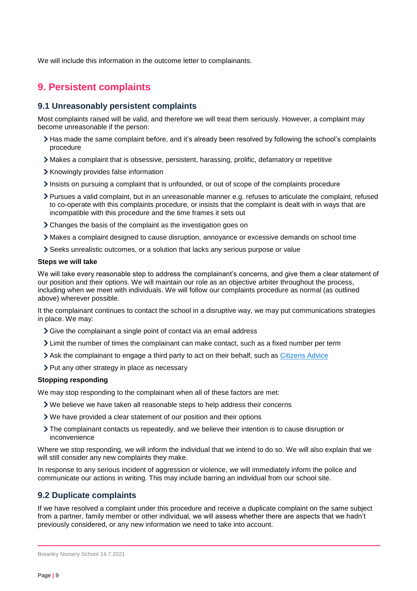We will include this information in the outcome letter to complainants.

# <span id="page-8-0"></span>**9. Persistent complaints**

#### **9.1 Unreasonably persistent complaints**

Most complaints raised will be valid, and therefore we will treat them seriously. However, a complaint may become unreasonable if the person:

- Has made the same complaint before, and it's already been resolved by following the school's complaints procedure
- Makes a complaint that is obsessive, persistent, harassing, prolific, defamatory or repetitive
- > Knowingly provides false information
- Insists on pursuing a complaint that is unfounded, or out of scope of the complaints procedure
- Pursues a valid complaint, but in an unreasonable manner e.g. refuses to articulate the complaint, refused to co-operate with this complaints procedure, or insists that the complaint is dealt with in ways that are incompatible with this procedure and the time frames it sets out
- Changes the basis of the complaint as the investigation goes on
- Makes a complaint designed to cause disruption, annoyance or excessive demands on school time
- Seeks unrealistic outcomes, or a solution that lacks any serious purpose or value

#### **Steps we will take**

We will take every reasonable step to address the complainant's concerns, and give them a clear statement of our position and their options. We will maintain our role as an objective arbiter throughout the process, including when we meet with individuals. We will follow our complaints procedure as normal (as outlined above) wherever possible.

It the complainant continues to contact the school in a disruptive way, we may put communications strategies in place. We may:

- Give the complainant a single point of contact via an email address
- Limit the number of times the complainant can make contact, such as a fixed number per term
- Ask the complainant to engage a third party to act on their behalf, such as [Citizens Advice](https://www.citizensadvice.org.uk/)
- > Put any other strategy in place as necessary

#### **Stopping responding**

We may stop responding to the complainant when all of these factors are met:

- We believe we have taken all reasonable steps to help address their concerns
- We have provided a clear statement of our position and their options
- The complainant contacts us repeatedly, and we believe their intention is to cause disruption or inconvenience

Where we stop responding, we will inform the individual that we intend to do so. We will also explain that we will still consider any new complaints they make.

In response to any serious incident of aggression or violence, we will immediately inform the police and communicate our actions in writing. This may include barring an individual from our school site.

#### **9.2 Duplicate complaints**

If we have resolved a complaint under this procedure and receive a duplicate complaint on the same subject from a partner, family member or other individual, we will assess whether there are aspects that we hadn't previously considered, or any new information we need to take into account.

Brearley Nursery School 14.7.2021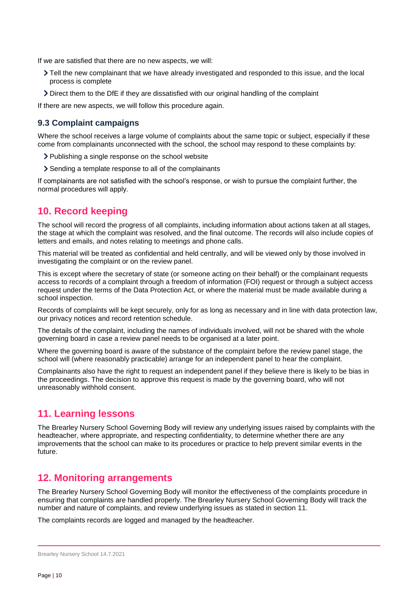If we are satisfied that there are no new aspects, we will:

- Tell the new complainant that we have already investigated and responded to this issue, and the local process is complete
- Direct them to the DfE if they are dissatisfied with our original handling of the complaint

If there are new aspects, we will follow this procedure again.

#### **9.3 Complaint campaigns**

Where the school receives a large volume of complaints about the same topic or subject, especially if these come from complainants unconnected with the school, the school may respond to these complaints by:

- > Publishing a single response on the school website
- Sending a template response to all of the complainants

If complainants are not satisfied with the school's response, or wish to pursue the complaint further, the normal procedures will apply.

### <span id="page-9-0"></span>**10. Record keeping**

The school will record the progress of all complaints, including information about actions taken at all stages, the stage at which the complaint was resolved, and the final outcome. The records will also include copies of letters and emails, and notes relating to meetings and phone calls.

This material will be treated as confidential and held centrally, and will be viewed only by those involved in investigating the complaint or on the review panel.

This is except where the secretary of state (or someone acting on their behalf) or the complainant requests access to records of a complaint through a freedom of information (FOI) request or through a subject access request under the terms of the Data Protection Act, or where the material must be made available during a school inspection.

Records of complaints will be kept securely, only for as long as necessary and in line with data protection law, our privacy notices and record retention schedule.

The details of the complaint, including the names of individuals involved, will not be shared with the whole governing board in case a review panel needs to be organised at a later point.

Where the governing board is aware of the substance of the complaint before the review panel stage, the school will (where reasonably practicable) arrange for an independent panel to hear the complaint.

Complainants also have the right to request an independent panel if they believe there is likely to be bias in the proceedings. The decision to approve this request is made by the governing board, who will not unreasonably withhold consent.

### <span id="page-9-1"></span>**11. Learning lessons**

The Brearley Nursery School Governing Body will review any underlying issues raised by complaints with the headteacher, where appropriate, and respecting confidentiality, to determine whether there are any improvements that the school can make to its procedures or practice to help prevent similar events in the future.

### <span id="page-9-2"></span>**12. Monitoring arrangements**

The Brearley Nursery School Governing Body will monitor the effectiveness of the complaints procedure in ensuring that complaints are handled properly. The Brearley Nursery School Governing Body will track the number and nature of complaints, and review underlying issues as stated in section 11.

The complaints records are logged and managed by the headteacher.

Brearley Nursery School 14.7.2021